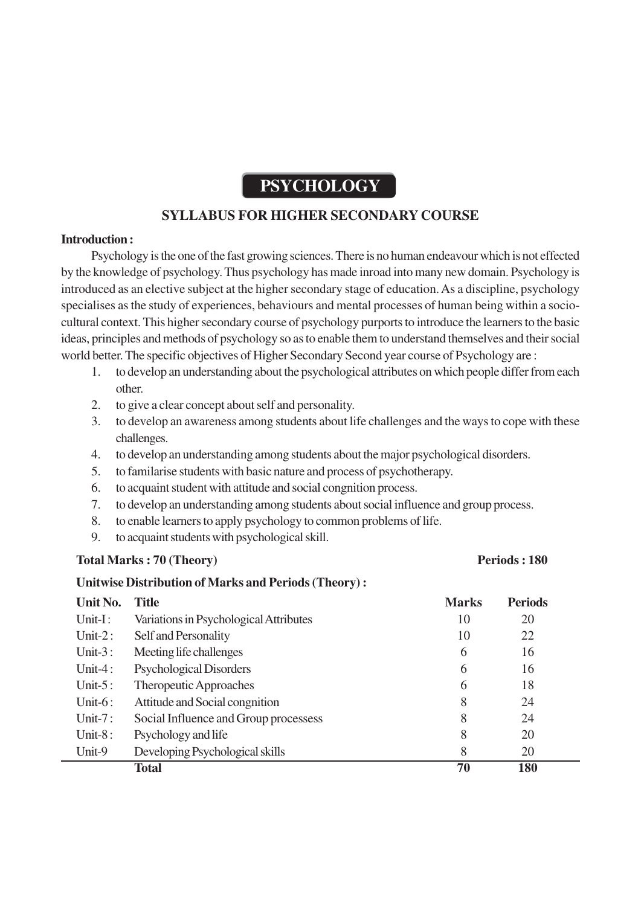# **PSYCHOLOGY**

# **SYLLABUS FOR HIGHER SECONDARY COURSE**

#### **Introduction :**

Psychology is the one of the fast growing sciences. There is no human endeavour which is not effected by the knowledge of psychology. Thus psychology has made inroad into many new domain. Psychology is introduced as an elective subject at the higher secondary stage of education. As a discipline, psychology specialises as the study of experiences, behaviours and mental processes of human being within a sociocultural context. This higher secondary course of psychology purports to introduce the learners to the basic ideas, principles and methods of psychology so as to enable them to understand themselves and their social world better. The specific objectives of Higher Secondary Second year course of Psychology are :

- 1. to develop an understanding about the psychological attributes on which people differ from each other.
- 2. to give a clear concept about self and personality.
- 3. to develop an awareness among students about life challenges and the ways to cope with these challenges.
- 4. to develop an understanding among students about the major psychological disorders.
- 5. to familarise students with basic nature and process of psychotherapy.
- 6. to acquaint student with attitude and social congnition process.
- 7. to develop an understanding among students about social influence and group process.
- 8. to enable learners to apply psychology to common problems of life.
- 9. to acquaint students with psychological skill.

# Total Marks : 70 (Theory) Periods : 180

# **Unitwise Distribution of Marks and Periods (Theory) :**

| Unit No.   | <b>Title</b>                           | <b>Marks</b> | <b>Periods</b> |
|------------|----------------------------------------|--------------|----------------|
| Unit-I:    | Variations in Psychological Attributes | 10           | 20             |
| Unit- $2:$ | Self and Personality                   | 10           | 22             |
| Unit- $3:$ | Meeting life challenges                | 6            | 16             |
| Unit-4:    | <b>Psychological Disorders</b>         | 6            | 16             |
| Unit- $5:$ | Theropeutic Approaches                 | 6            | 18             |
| Unit- $6:$ | Attitude and Social congnition         | 8            | 24             |
| Unit- $7:$ | Social Influence and Group processess  | 8            | 24             |
| Unit- $8:$ | Psychology and life                    | 8            | 20             |
| Unit-9     | Developing Psychological skills        | 8            | 20             |
|            | <b>Total</b>                           | 70           | 180            |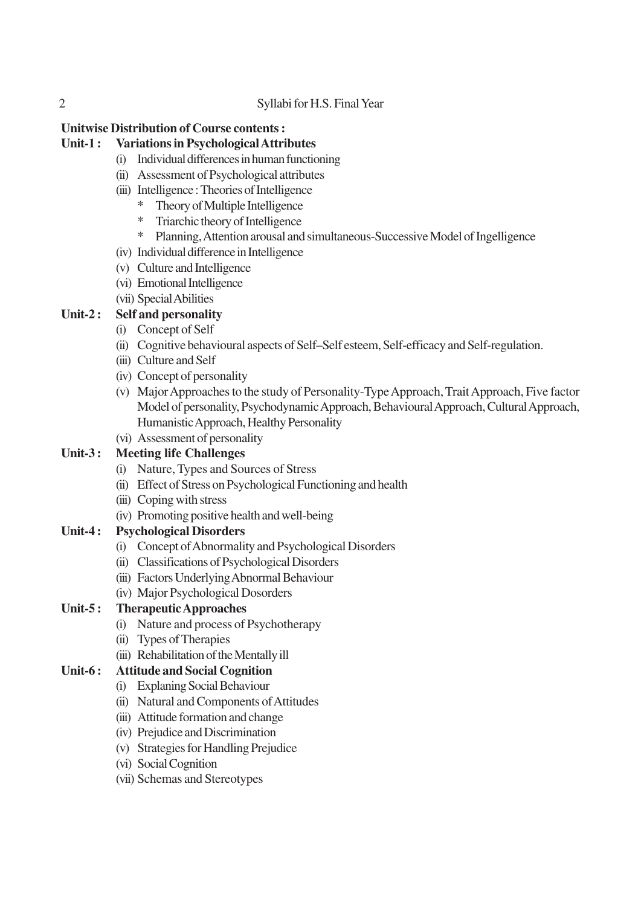#### 2 Syllabi for H.S. Final Year

# **Unitwise Distribution of Course contents :**

#### **Unit-1 : Variations in Psychological Attributes**

- (i) Individual differences in human functioning
- (ii) Assessment of Psychological attributes
- (iii) Intelligence : Theories of Intelligence
	- \* Theory of Multiple Intelligence
	- \* Triarchic theory of Intelligence
	- \* Planning, Attention arousal and simultaneous-Successive Model of Ingelligence
- (iv) Individual difference in Intelligence
- (v) Culture and Intelligence
- (vi) Emotional Intelligence
- (vii) Special Abilities

# **Unit-2 : Self and personality**

- (i) Concept of Self
- (ii) Cognitive behavioural aspects of Self–Self esteem, Self-efficacy and Self-regulation.
- (iii) Culture and Self
- (iv) Concept of personality
- (v) Major Approaches to the study of Personality-Type Approach, Trait Approach, Five factor Model of personality, Psychodynamic Approach, Behavioural Approach, Cultural Approach, Humanistic Approach, Healthy Personality
- (vi) Assessment of personality

#### **Unit-3 : Meeting life Challenges**

- (i) Nature, Types and Sources of Stress
- (ii) Effect of Stress on Psychological Functioning and health
- (iii) Coping with stress
- (iv) Promoting positive health and well-being

# **Unit-4 : Psychological Disorders**

- (i) Concept of Abnormality and Psychological Disorders
- (ii) Classifications of Psychological Disorders
- (iii) Factors Underlying Abnormal Behaviour
- (iv) Major Psychological Dosorders

# **Unit-5 : Therapeutic Approaches**

- (i) Nature and process of Psychotherapy
- (ii) Types of Therapies
- (iii) Rehabilitation of the Mentally ill

# **Unit-6 : Attitude and Social Cognition**

- (i) Explaning Social Behaviour
- (ii) Natural and Components of Attitudes
- (iii) Attitude formation and change
- (iv) Prejudice and Discrimination
- (v) Strategies for Handling Prejudice
- (vi) Social Cognition
- (vii) Schemas and Stereotypes